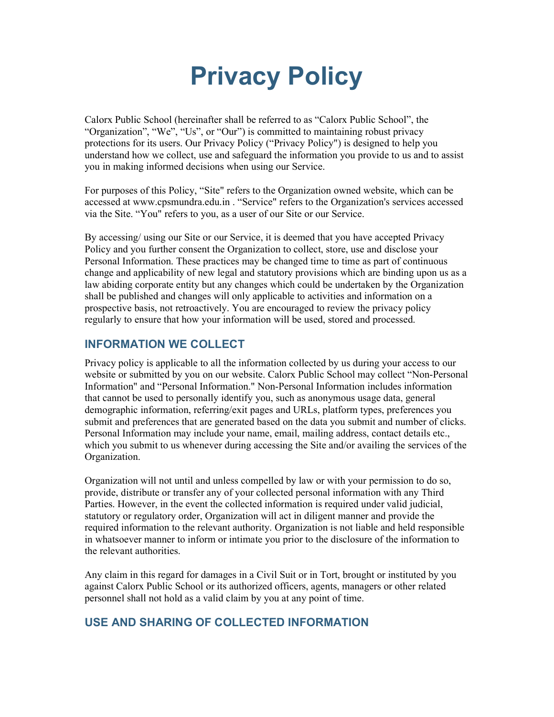# Privacy Policy

Calorx Public School (hereinafter shall be referred to as "Calorx Public School", the "Organization", "We", "Us", or "Our") is committed to maintaining robust privacy protections for its users. Our Privacy Policy ("Privacy Policy") is designed to help you understand how we collect, use and safeguard the information you provide to us and to assist you in making informed decisions when using our Service.

For purposes of this Policy, "Site" refers to the Organization owned website, which can be accessed at www.cpsmundra.edu.in . "Service" refers to the Organization's services accessed via the Site. "You" refers to you, as a user of our Site or our Service.

By accessing/ using our Site or our Service, it is deemed that you have accepted Privacy Policy and you further consent the Organization to collect, store, use and disclose your Personal Information. These practices may be changed time to time as part of continuous change and applicability of new legal and statutory provisions which are binding upon us as a law abiding corporate entity but any changes which could be undertaken by the Organization shall be published and changes will only applicable to activities and information on a prospective basis, not retroactively. You are encouraged to review the privacy policy regularly to ensure that how your information will be used, stored and processed.

## INFORMATION WE COLLECT

Privacy policy is applicable to all the information collected by us during your access to our website or submitted by you on our website. Calorx Public School may collect "Non-Personal Information" and "Personal Information." Non-Personal Information includes information that cannot be used to personally identify you, such as anonymous usage data, general demographic information, referring/exit pages and URLs, platform types, preferences you submit and preferences that are generated based on the data you submit and number of clicks. Personal Information may include your name, email, mailing address, contact details etc., which you submit to us whenever during accessing the Site and/or availing the services of the Organization.

Organization will not until and unless compelled by law or with your permission to do so, provide, distribute or transfer any of your collected personal information with any Third Parties. However, in the event the collected information is required under valid judicial, statutory or regulatory order, Organization will act in diligent manner and provide the required information to the relevant authority. Organization is not liable and held responsible in whatsoever manner to inform or intimate you prior to the disclosure of the information to the relevant authorities.

Any claim in this regard for damages in a Civil Suit or in Tort, brought or instituted by you against Calorx Public School or its authorized officers, agents, managers or other related personnel shall not hold as a valid claim by you at any point of time.

# USE AND SHARING OF COLLECTED INFORMATION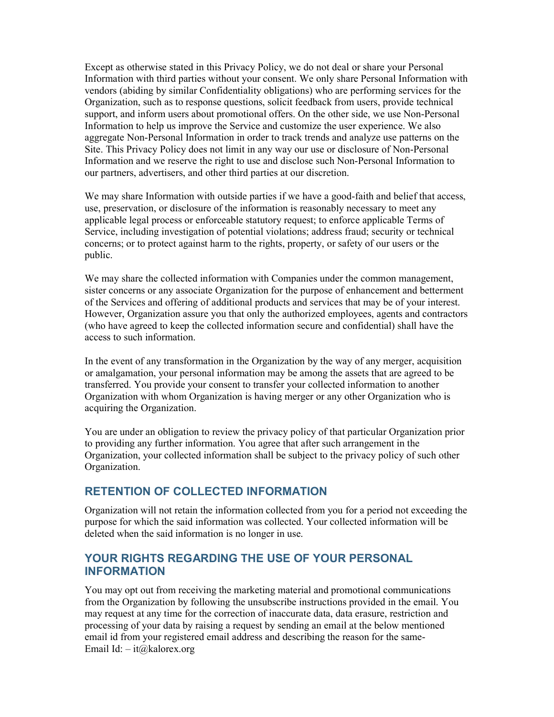Except as otherwise stated in this Privacy Policy, we do not deal or share your Personal Information with third parties without your consent. We only share Personal Information with vendors (abiding by similar Confidentiality obligations) who are performing services for the Organization, such as to response questions, solicit feedback from users, provide technical support, and inform users about promotional offers. On the other side, we use Non-Personal Information to help us improve the Service and customize the user experience. We also aggregate Non-Personal Information in order to track trends and analyze use patterns on the Site. This Privacy Policy does not limit in any way our use or disclosure of Non-Personal Information and we reserve the right to use and disclose such Non-Personal Information to our partners, advertisers, and other third parties at our discretion.

We may share Information with outside parties if we have a good-faith and belief that access, use, preservation, or disclosure of the information is reasonably necessary to meet any applicable legal process or enforceable statutory request; to enforce applicable Terms of Service, including investigation of potential violations; address fraud; security or technical concerns; or to protect against harm to the rights, property, or safety of our users or the public.

We may share the collected information with Companies under the common management, sister concerns or any associate Organization for the purpose of enhancement and betterment of the Services and offering of additional products and services that may be of your interest. However, Organization assure you that only the authorized employees, agents and contractors (who have agreed to keep the collected information secure and confidential) shall have the access to such information.

In the event of any transformation in the Organization by the way of any merger, acquisition or amalgamation, your personal information may be among the assets that are agreed to be transferred. You provide your consent to transfer your collected information to another Organization with whom Organization is having merger or any other Organization who is acquiring the Organization.

You are under an obligation to review the privacy policy of that particular Organization prior to providing any further information. You agree that after such arrangement in the Organization, your collected information shall be subject to the privacy policy of such other Organization.

# RETENTION OF COLLECTED INFORMATION

Organization will not retain the information collected from you for a period not exceeding the purpose for which the said information was collected. Your collected information will be deleted when the said information is no longer in use.

## YOUR RIGHTS REGARDING THE USE OF YOUR PERSONAL INFORMATION

You may opt out from receiving the marketing material and promotional communications from the Organization by following the unsubscribe instructions provided in the email. You may request at any time for the correction of inaccurate data, data erasure, restriction and processing of your data by raising a request by sending an email at the below mentioned email id from your registered email address and describing the reason for the same-Email Id:  $-$  it $\omega$  kalorex.org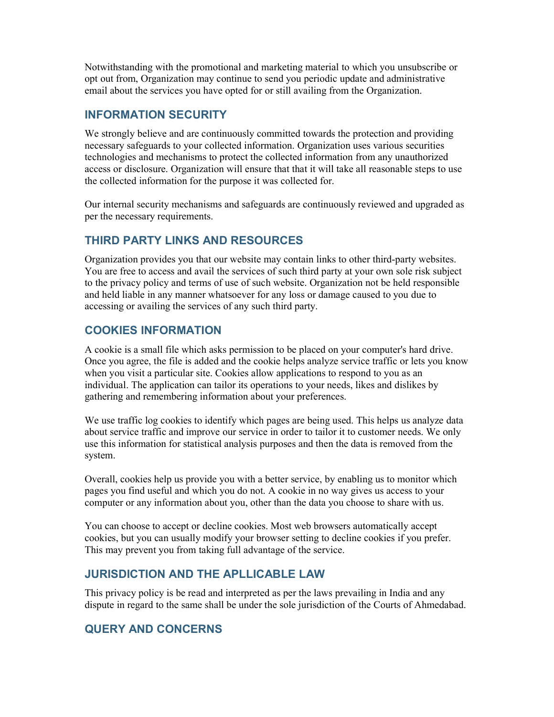Notwithstanding with the promotional and marketing material to which you unsubscribe or opt out from, Organization may continue to send you periodic update and administrative email about the services you have opted for or still availing from the Organization.

## INFORMATION SECURITY

We strongly believe and are continuously committed towards the protection and providing necessary safeguards to your collected information. Organization uses various securities technologies and mechanisms to protect the collected information from any unauthorized access or disclosure. Organization will ensure that that it will take all reasonable steps to use the collected information for the purpose it was collected for.

Our internal security mechanisms and safeguards are continuously reviewed and upgraded as per the necessary requirements.

## THIRD PARTY LINKS AND RESOURCES

Organization provides you that our website may contain links to other third-party websites. You are free to access and avail the services of such third party at your own sole risk subject to the privacy policy and terms of use of such website. Organization not be held responsible and held liable in any manner whatsoever for any loss or damage caused to you due to accessing or availing the services of any such third party.

## COOKIES INFORMATION

A cookie is a small file which asks permission to be placed on your computer's hard drive. Once you agree, the file is added and the cookie helps analyze service traffic or lets you know when you visit a particular site. Cookies allow applications to respond to you as an individual. The application can tailor its operations to your needs, likes and dislikes by gathering and remembering information about your preferences.

We use traffic log cookies to identify which pages are being used. This helps us analyze data about service traffic and improve our service in order to tailor it to customer needs. We only use this information for statistical analysis purposes and then the data is removed from the system.

Overall, cookies help us provide you with a better service, by enabling us to monitor which pages you find useful and which you do not. A cookie in no way gives us access to your computer or any information about you, other than the data you choose to share with us.

You can choose to accept or decline cookies. Most web browsers automatically accept cookies, but you can usually modify your browser setting to decline cookies if you prefer. This may prevent you from taking full advantage of the service.

## JURISDICTION AND THE APLLICABLE LAW

This privacy policy is be read and interpreted as per the laws prevailing in India and any dispute in regard to the same shall be under the sole jurisdiction of the Courts of Ahmedabad.

# QUERY AND CONCERNS